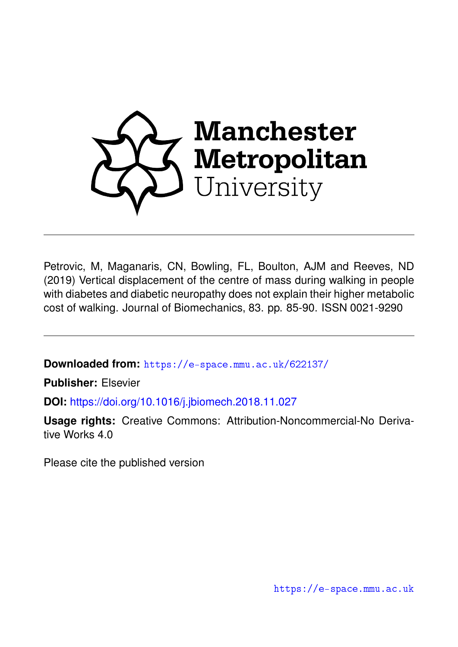

Petrovic, M, Maganaris, CN, Bowling, FL, Boulton, AJM and Reeves, ND (2019) Vertical displacement of the centre of mass during walking in people with diabetes and diabetic neuropathy does not explain their higher metabolic cost of walking. Journal of Biomechanics, 83. pp. 85-90. ISSN 0021-9290

**Downloaded from:** <https://e-space.mmu.ac.uk/622137/>

**Publisher:** Elsevier

**DOI:** <https://doi.org/10.1016/j.jbiomech.2018.11.027>

**Usage rights:** Creative Commons: Attribution-Noncommercial-No Derivative Works 4.0

Please cite the published version

<https://e-space.mmu.ac.uk>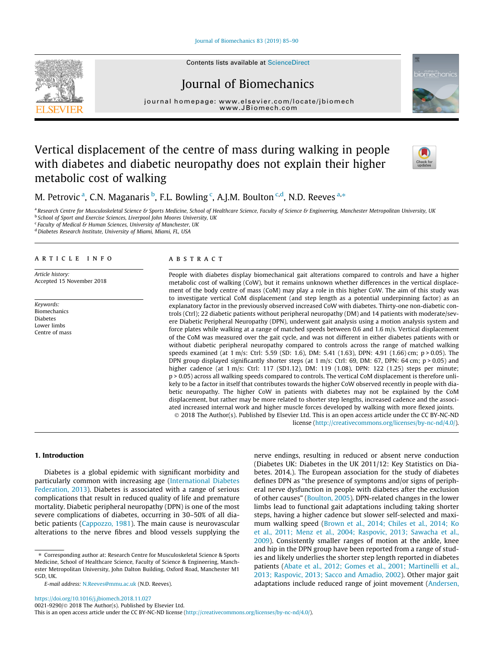[Journal of Biomechanics 83 \(2019\) 85–90](https://doi.org/10.1016/j.jbiomech.2018.11.027)



# Journal of Biomechanics

journal home[page:](http://www.elsevier.com/locate/jbiomech) [www.elsevier.com/lo](http://www.JBiomech.com)[cate/jbiomech](http://www.elsevier.com/locate/jbiomech)

# Vertical displacement of the centre of mass during walking in people with diabetes and diabetic neuropathy does not explain their higher metabolic cost of walking



iomechanic

M. Petrovic <sup>a</sup>, C.N. Maganaris <sup>b</sup>, F.L. Bowling <sup>c</sup>, A.J.M. Boulton <sup>c,d</sup>, N.D. Reeves <sup>a,\*</sup>

a Research Centre for Musculoskeletal Science & Sports Medicine, School of Healthcare Science, Faculty of Science & Engineering, Manchester Metropolitan University, UK <sup>b</sup> School of Sport and Exercise Sciences, Liverpool John Moores University, UK

 $c$  Faculty of Medical & Human Sciences, University of Manchester, UK

<sup>d</sup> Diabetes Research Institute, University of Miami, Miami, FL, USA

## article info

Article history: Accepted 15 November 2018

Keywords: Biomechanics Diabetes Lower limbs Centre of mass

#### ABSTRACT

People with diabetes display biomechanical gait alterations compared to controls and have a higher metabolic cost of walking (CoW), but it remains unknown whether differences in the vertical displacement of the body centre of mass (CoM) may play a role in this higher CoW. The aim of this study was to investigate vertical CoM displacement (and step length as a potential underpinning factor) as an explanatory factor in the previously observed increased CoW with diabetes. Thirty-one non-diabetic controls (Ctrl); 22 diabetic patients without peripheral neuropathy (DM) and 14 patients with moderate/severe Diabetic Peripheral Neuropathy (DPN), underwent gait analysis using a motion analysis system and force plates while walking at a range of matched speeds between 0.6 and 1.6 m/s. Vertical displacement of the CoM was measured over the gait cycle, and was not different in either diabetes patients with or without diabetic peripheral neuropathy compared to controls across the range of matched walking speeds examined (at 1 m/s: Ctrl: 5.59 (SD: 1.6), DM: 5.41 (1.63), DPN: 4.91 (1.66) cm; p > 0.05). The DPN group displayed significantly shorter steps (at  $1 \text{ m/s}$ : Ctrl: 69, DM: 67, DPN: 64 cm; p > 0.05) and higher cadence (at 1 m/s: Ctrl: 117 (SD1.12), DM: 119 (1.08), DPN: 122 (1.25) steps per minute; p > 0.05) across all walking speeds compared to controls. The vertical CoM displacement is therefore unlikely to be a factor in itself that contributes towards the higher CoW observed recently in people with diabetic neuropathy. The higher CoW in patients with diabetes may not be explained by the CoM displacement, but rather may be more related to shorter step lengths, increased cadence and the associated increased internal work and higher muscle forces developed by walking with more flexed joints. 2018 The Author(s). Published by Elsevier Ltd. This is an open access article under the CC BY-NC-ND

license (<http://creativecommons.org/licenses/by-nc-nd/4.0/>).

## 1. Introduction

Diabetes is a global epidemic with significant morbidity and particularly common with increasing age ([International Diabetes](#page-6-0) [Federation, 2013\)](#page-6-0). Diabetes is associated with a range of serious complications that result in reduced quality of life and premature mortality. Diabetic peripheral neuropathy (DPN) is one of the most severe complications of diabetes, occurring in 30–50% of all diabetic patients [\(Cappozzo, 1981\)](#page-5-0). The main cause is neurovascular alterations to the nerve fibres and blood vessels supplying the nerve endings, resulting in reduced or absent nerve conduction (Diabetes UK: Diabetes in the UK 2011/12: Key Statistics on Diabetes. 2014.). The European association for the study of diabetes defines DPN as ''the presence of symptoms and/or signs of peripheral nerve dysfunction in people with diabetes after the exclusion of other causes" ([Boulton, 2005](#page-5-0)). DPN-related changes in the lower limbs lead to functional gait adaptations including taking shorter steps, having a higher cadence but slower self-selected and maximum walking speed [\(Brown et al., 2014; Chiles et al., 2014; Ko](#page-5-0) [et al., 2011; Menz et al., 2004; Raspovic, 2013; Sawacha et al.,](#page-5-0) [2009](#page-5-0)). Consistently smaller ranges of motion at the ankle, knee and hip in the DPN group have been reported from a range of studies and likely underlies the shorter step length reported in diabetes patients [\(Abate et al., 2012; Gomes et al., 2001; Martinelli et al.,](#page-5-0) [2013; Raspovic, 2013; Sacco and Amadio, 2002\)](#page-5-0). Other major gait adaptations include reduced range of joint movement [\(Andersen,](#page-5-0)

<sup>⇑</sup> Corresponding author at: Research Centre for Musculoskeletal Science & Sports Medicine, School of Healthcare Science, Faculty of Science & Engineering, Manchester Metropolitan University, John Dalton Building, Oxford Road, Manchester M1 5GD, UK.

E-mail address: [N.Reeves@mmu.ac.uk](mailto:N.Reeves@mmu.ac.uk) (N.D. Reeves).

This is an open access article under the CC BY-NC-ND license ([http://creativecommons.org/licenses/by-nc-nd/4.0/\)](http://creativecommons.org/licenses/by-nc-nd/4.0/).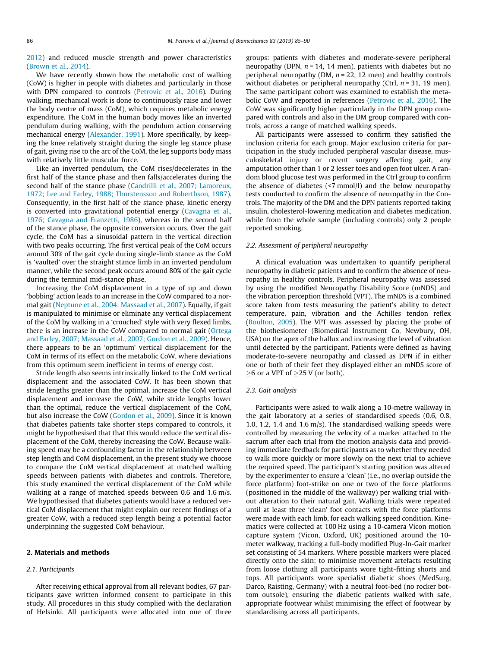[2012\)](#page-5-0) and reduced muscle strength and power characteristics ([Brown et al., 2014](#page-5-0)).

We have recently shown how the metabolic cost of walking (CoW) is higher in people with diabetes and particularly in those with DPN compared to controls ([Petrovic et al., 2016](#page-6-0)). During walking, mechanical work is done to continuously raise and lower the body centre of mass (CoM), which requires metabolic energy expenditure. The CoM in the human body moves like an inverted pendulum during walking, with the pendulum action conserving mechanical energy [\(Alexander, 1991\)](#page-5-0). More specifically, by keeping the knee relatively straight during the single leg stance phase of gait, giving rise to the arc of the CoM, the leg supports body mass with relatively little muscular force.

Like an inverted pendulum, the CoM rises/decelerates in the first half of the stance phase and then falls/accelerates during the second half of the stance phase [\(Candrilli et al., 2007; Lamoreux,](#page-5-0) [1972; Lee and Farley, 1988; Thorstensson and Roberthson, 1987\)](#page-5-0). Consequently, in the first half of the stance phase, kinetic energy is converted into gravitational potential energy [\(Cavagna et al.,](#page-5-0) [1976; Cavagna and Franzetti, 1986](#page-5-0)), whereas in the second half of the stance phase, the opposite conversion occurs. Over the gait cycle, the CoM has a sinusoidal pattern in the vertical direction with two peaks occurring. The first vertical peak of the CoM occurs around 30% of the gait cycle during single-limb stance as the CoM is 'vaulted' over the straight stance limb in an inverted pendulum manner, while the second peak occurs around 80% of the gait cycle during the terminal mid-stance phase.

Increasing the CoM displacement in a type of up and down 'bobbing' action leads to an increase in the CoW compared to a normal gait [\(Neptune et al., 2004; Massaad et al., 2007\)](#page-6-0). Equally, if gait is manipulated to minimise or eliminate any vertical displacement of the CoM by walking in a 'crouched' style with very flexed limbs, there is an increase in the CoW compared to normal gait ([Ortega](#page-6-0) [and Farley, 2007; Massaad et al., 2007; Gordon et al., 2009](#page-6-0)). Hence, there appears to be an 'optimum' vertical displacement for the CoM in terms of its effect on the metabolic CoW, where deviations from this optimum seem inefficient in terms of energy cost.

Stride length also seems intrinsically linked to the CoM vertical displacement and the associated CoW. It has been shown that stride lengths greater than the optimal, increase the CoM vertical displacement and increase the CoW, while stride lengths lower than the optimal, reduce the vertical displacement of the CoM, but also increase the CoW [\(Gordon et al., 2009\)](#page-6-0). Since it is known that diabetes patients take shorter steps compared to controls, it might be hypothesised that that this would reduce the vertical displacement of the CoM, thereby increasing the CoW. Because walking speed may be a confounding factor in the relationship between step length and CoM displacement, in the present study we choose to compare the CoM vertical displacement at matched walking speeds between patients with diabetes and controls. Therefore, this study examined the vertical displacement of the CoM while walking at a range of matched speeds between 0.6 and 1.6 m/s. We hypothesised that diabetes patients would have a reduced vertical CoM displacement that might explain our recent findings of a greater CoW, with a reduced step length being a potential factor underpinning the suggested CoM behaviour.

#### 2. Materials and methods

## 2.1. Participants

After receiving ethical approval from all relevant bodies, 67 participants gave written informed consent to participate in this study. All procedures in this study complied with the declaration of Helsinki. All participants were allocated into one of three groups: patients with diabetes and moderate-severe peripheral neuropathy (DPN,  $n = 14$ , 14 men), patients with diabetes but no peripheral neuropathy (DM,  $n = 22$ , 12 men) and healthy controls without diabetes or peripheral neuropathy (Ctrl,  $n = 31$ , 19 men). The same participant cohort was examined to establish the metabolic CoW and reported in references [\(Petrovic et al., 2016\)](#page-6-0). The CoW was significantly higher particularly in the DPN group compared with controls and also in the DM group compared with controls, across a range of matched walking speeds.

All participants were assessed to confirm they satisfied the inclusion criteria for each group. Major exclusion criteria for participation in the study included peripheral vascular disease, musculoskeletal injury or recent surgery affecting gait, any amputation other than 1 or 2 lesser toes and open foot ulcer. A random blood glucose test was performed in the Ctrl group to confirm the absence of diabetes (<7 mmol/l) and the below neuropathy tests conducted to confirm the absence of neuropathy in the Controls. The majority of the DM and the DPN patients reported taking insulin, cholesterol-lowering medication and diabetes medication, while from the whole sample (including controls) only 2 people reported smoking.

#### 2.2. Assessment of peripheral neuropathy

A clinical evaluation was undertaken to quantify peripheral neuropathy in diabetic patients and to confirm the absence of neuropathy in healthy controls. Peripheral neuropathy was assessed by using the modified Neuropathy Disability Score (mNDS) and the vibration perception threshold (VPT). The mNDS is a combined score taken from tests measuring the patient's ability to detect temperature, pain, vibration and the Achilles tendon reflex ([Boulton, 2005\)](#page-5-0). The VPT was assessed by placing the probe of the biothesiometer (Biomedical Instrument Co, Newbury, OH, USA) on the apex of the hallux and increasing the level of vibration until detected by the participant. Patients were defined as having moderate-to-severe neuropathy and classed as DPN if in either one or both of their feet they displayed either an mNDS score of  $>6$  or a VPT of  $>25$  V (or both).

#### 2.3. Gait analysis

Participants were asked to walk along a 10-metre walkway in the gait laboratory at a series of standardised speeds (0.6, 0.8, 1.0, 1.2, 1.4 and 1.6 m/s). The standardised walking speeds were controlled by measuring the velocity of a marker attached to the sacrum after each trial from the motion analysis data and providing immediate feedback for participants as to whether they needed to walk more quickly or more slowly on the next trial to achieve the required speed. The participant's starting position was altered by the experimenter to ensure a 'clean' (i.e., no overlap outside the force platform) foot-strike on one or two of the force platforms (positioned in the middle of the walkway) per walking trial without alteration to their natural gait. Walking trials were repeated until at least three 'clean' foot contacts with the force platforms were made with each limb, for each walking speed condition. Kinematics were collected at 100 Hz using a 10-camera Vicon motion capture system (Vicon, Oxford, UK) positioned around the 10 meter walkway, tracking a full-body modified Plug-In-Gait marker set consisting of 54 markers. Where possible markers were placed directly onto the skin; to minimise movement artefacts resulting from loose clothing all participants wore tight-fitting shorts and tops. All participants wore specialist diabetic shoes (MedSurg, Darco, Raisting, Germany) with a neutral foot-bed (no rocker bottom outsole), ensuring the diabetic patients walked with safe, appropriate footwear whilst minimising the effect of footwear by standardising across all participants.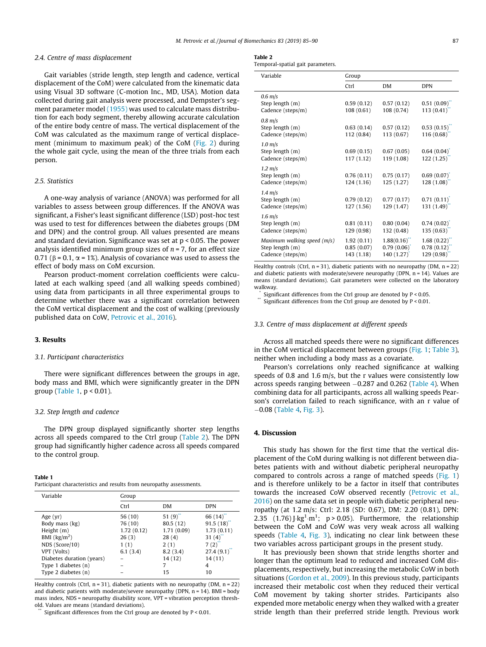#### <span id="page-3-0"></span>2.4. Centre of mass displacement

Gait variables (stride length, step length and cadence, vertical displacement of the CoM) were calculated from the kinematic data using Visual 3D software (C-motion Inc., MD, USA). Motion data collected during gait analysis were processed, and Dempster's segment parameter model [\(1955\)](#page-5-0) was used to calculate mass distribution for each body segment, thereby allowing accurate calculation of the entire body centre of mass. The vertical displacement of the CoM was calculated as the maximum range of vertical displacement (minimum to maximum peak) of the CoM [\(Fig. 2\)](#page-4-0) during the whole gait cycle, using the mean of the three trials from each person.

### 2.5. Statistics

A one-way analysis of variance (ANOVA) was performed for all variables to assess between group differences. If the ANOVA was significant, a Fisher's least significant difference (LSD) post-hoc test was used to test for differences between the diabetes groups (DM and DPN) and the control group. All values presented are means and standard deviation. Significance was set at p < 0.05. The power analysis identified minimum group sizes of  $n = 7$ , for an effect size 0.71 ( $\beta$  = 0.1,  $\alpha$  = 1%). Analysis of covariance was used to assess the effect of body mass on CoM excursion.

Pearson product-moment correlation coefficients were calculated at each walking speed (and all walking speeds combined) using data from participants in all three experimental groups to determine whether there was a significant correlation between the CoM vertical displacement and the cost of walking (previously published data on CoW, [Petrovic et al., 2016\)](#page-6-0).

#### 3. Results

#### 3.1. Participant characteristics

There were significant differences between the groups in age, body mass and BMI, which were significantly greater in the DPN group (Table 1, p < 0.01).

# 3.2. Step length and cadence

The DPN group displayed significantly shorter step lengths across all speeds compared to the Ctrl group (Table 2). The DPN group had significantly higher cadence across all speeds compared to the control group.

## Table 1

Participant characteristics and results from neuropathy assessments.

| Variable                          | Group      |            |            |
|-----------------------------------|------------|------------|------------|
|                                   | Ctrl       | <b>DM</b>  | <b>DPN</b> |
| Age $(yr)$                        | 56 (10)    | 51(9)      | 66 (14)    |
| Body mass (kg)                    | 76 (10)    | 80.5 (12)  | 91.5(18)   |
| Height (m)                        | 1.72(0.12) | 1.71(0.09) | 1.73(0.11) |
| BMI $\left(\frac{kg}{m^2}\right)$ | 26(3)      | 28(4)      | 31(4)      |
| NDS (Score/10)                    | 1(1)       | 2(1)       | $7(2)^{7}$ |
| VPT (Volts)                       | 6.1(3.4)   | 8.2(3.4)   | 27.4(9.1)  |
| Diabetes duration (years)         |            | 14(12)     | 14 (11)    |
| Type 1 diabetes (n)               |            | 7          | 4          |
| Type 2 diabetes (n)               |            | 15         | 10         |
|                                   |            |            |            |

Healthy controls (Ctrl,  $n = 31$ ), diabetic patients with no neuropathy (DM,  $n = 22$ ) and diabetic patients with moderate/severe neuropathy (DPN,  $n = 14$ ). BMI = body mass index, NDS = neuropathy disability score, VPT = vibration perception threshold. Values are means (standard deviations).

Significant differences from the Ctrl group are denoted by  $P < 0.01$ .

| .                                 |  |  |
|-----------------------------------|--|--|
| Temporal-spatial gait parameters. |  |  |

| Variable                                                            | Group                                  |                                       |                                       |
|---------------------------------------------------------------------|----------------------------------------|---------------------------------------|---------------------------------------|
|                                                                     | Ctrl                                   | <b>DM</b>                             | <b>DPN</b>                            |
| $0.6$ m/s<br>Step length (m)<br>Cadence (steps/m)                   | 0.59(0.12)<br>108(0.61)                | 0.57(0.12)<br>108 (0.74)              | 0.51(0.09)<br>113(0.41)               |
| $0.8 \text{ m/s}$<br>Step length (m)<br>Cadence (steps/m)           | 0.63(0.14)<br>112 (0.84)               | 0.57(0.12)<br>113 (0.67)              | 0.53(0.15)<br>116(0.68)               |
| $1.0 \text{ m/s}$<br>Step length (m)<br>Cadence (steps/m)           | 0.69(0.15)<br>117(1.12)                | 0.67(0.05)<br>119 (1.08)              | 0.64(0.04)<br>122(1.25)               |
| $1.2 \text{ m/s}$<br>Step length (m)<br>Cadence (steps/m)           | 0.76(0.11)<br>124(1.16)                | 0.75(0.17)<br>125(1.27)               | 0.69(0.07)<br>128(1.08)               |
| $1.4 \text{ m/s}$<br>Step length (m)<br>Cadence (steps/m)           | 0.79(0.12)<br>127(1.56)                | 0.77(0.17)<br>129 (1.47)              | 0.71(0.11)<br>131 (1.49)              |
| $1.6 \text{ m/s}$<br>Step length (m)<br>Cadence (steps/m)           | 0.81(0.11)<br>129 (0.98)               | 0.80(0.04)<br>132 (0.48)              | 0.74(0.02)<br>135(0.63)               |
| Maximum walking speed (m/s)<br>Step length (m)<br>Cadence (steps/m) | 1.92(0.11)<br>0.85(0.07)<br>143 (1.18) | 1.88(0.16)<br>0.79(0.06)<br>140(1.27) | 1.68(0.22)<br>0.78(0.12)<br>129(0.98) |

Healthy controls (Ctrl,  $n = 31$ ), diabetic patients with no neuropathy (DM,  $n = 22$ ) and diabetic patients with moderate/severe neuropathy (DPN, n = 14). Values are means (standard deviations). Gait parameters were collected on the laboratory walkway.

Significant differences from the Ctrl group are denoted by  $P < 0.05$ .

Significant differences from the Ctrl group are denoted by  $P < 0.01$ .

## 3.3. Centre of mass displacement at different speeds

Across all matched speeds there were no significant differences in the CoM vertical displacement between groups ([Fig. 1](#page-4-0); [Table 3\)](#page-4-0), neither when including a body mass as a covariate.

Pearson's correlations only reached significance at walking speeds of 0.8 and 1.6 m/s, but the r values were consistently low across speeds ranging between  $-0.287$  and 0.262 ([Table 4](#page-5-0)). When combining data for all participants, across all walking speeds Pearson's correlation failed to reach significance, with an r value of  $-0.08$  ([Table 4](#page-5-0), [Fig. 3](#page-5-0)).

#### 4. Discussion

This study has shown for the first time that the vertical displacement of the CoM during walking is not different between diabetes patients with and without diabetic peripheral neuropathy compared to controls across a range of matched speeds [\(Fig. 1\)](#page-4-0) and is therefore unlikely to be a factor in itself that contributes towards the increased CoW observed recently ([Petrovic et al.,](#page-6-0) [2016](#page-6-0)) on the same data set in people with diabetic peripheral neuropathy (at 1.2 m/s: Ctrl: 2.18 (SD: 0.67), DM: 2.20 (0.81), DPN: 2.35 (1.76) J·kg<sup>1</sup>·m<sup>1</sup>; p > 0.05). Furthermore, the relationship between the CoM and CoW was very weak across all walking speeds [\(Table 4](#page-5-0), [Fig. 3\)](#page-5-0), indicating no clear link between these two variables across participant groups in the present study.

It has previously been shown that stride lengths shorter and longer than the optimum lead to reduced and increased CoM displacements, respectively, but increasing the metabolic CoW in both situations ([Gordon et al., 2009\)](#page-6-0). In this previous study, participants increased their metabolic cost when they reduced their vertical CoM movement by taking shorter strides. Participants also expended more metabolic energy when they walked with a greater stride length than their preferred stride length. Previous work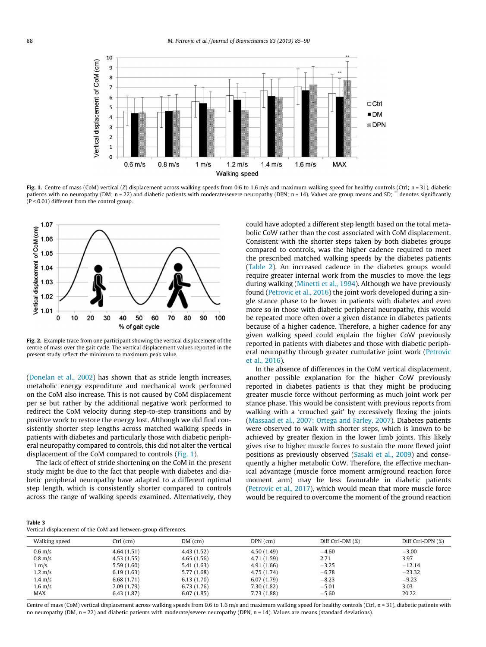<span id="page-4-0"></span>

Fig. 1. Centre of mass (CoM) vertical (Z) displacement across walking speeds from 0.6 to 1.6 m/s and maximum walking speed for healthy controls (Ctrl; n = 31), diabetic patients with no neuropathy (DM; n = 22) and diabetic patients with moderate/severe neuropathy (DPN; n = 14). Values are group means and SD;  $\ddot{\cdot}$  denotes significantly (P < 0.01) different from the control group.



Fig. 2. Example trace from one participant showing the vertical displacement of the centre of mass over the gait cycle. The vertical displacement values reported in the present study reflect the minimum to maximum peak value.

([Donelan et al., 2002\)](#page-5-0) has shown that as stride length increases, metabolic energy expenditure and mechanical work performed on the CoM also increase. This is not caused by CoM displacement per se but rather by the additional negative work performed to redirect the CoM velocity during step-to-step transitions and by positive work to restore the energy lost. Although we did find consistently shorter step lengths across matched walking speeds in patients with diabetes and particularly those with diabetic peripheral neuropathy compared to controls, this did not alter the vertical displacement of the CoM compared to controls (Fig. 1).

The lack of effect of stride shortening on the CoM in the present study might be due to the fact that people with diabetes and diabetic peripheral neuropathy have adapted to a different optimal step length, which is consistently shorter compared to controls across the range of walking speeds examined. Alternatively, they could have adopted a different step length based on the total metabolic CoW rather than the cost associated with CoM displacement. Consistent with the shorter steps taken by both diabetes groups compared to controls, was the higher cadence required to meet the prescribed matched walking speeds by the diabetes patients ([Table 2](#page-3-0)). An increased cadence in the diabetes groups would require greater internal work from the muscles to move the legs during walking [\(Minetti et al., 1994\)](#page-6-0). Although we have previously found ([Petrovic et al., 2016\)](#page-6-0) the joint work developed during a single stance phase to be lower in patients with diabetes and even more so in those with diabetic peripheral neuropathy, this would be repeated more often over a given distance in diabetes patients because of a higher cadence. Therefore, a higher cadence for any given walking speed could explain the higher CoW previously reported in patients with diabetes and those with diabetic periph-eral neuropathy through greater cumulative joint work [\(Petrovic](#page-6-0) [et al., 2016\)](#page-6-0).

In the absence of differences in the CoM vertical displacement, another possible explanation for the higher CoW previously reported in diabetes patients is that they might be producing greater muscle force without performing as much joint work per stance phase. This would be consistent with previous reports from walking with a 'crouched gait' by excessively flexing the joints ([Massaad et al., 2007; Ortega and Farley, 2007](#page-6-0)). Diabetes patients were observed to walk with shorter steps, which is known to be achieved by greater flexion in the lower limb joints. This likely gives rise to higher muscle forces to sustain the more flexed joint positions as previously observed [\(Sasaki et al., 2009](#page-6-0)) and consequently a higher metabolic CoW. Therefore, the effective mechanical advantage (muscle force moment arm/ground reaction force moment arm) may be less favourable in diabetic patients ([Petrovic et al., 2017](#page-6-0)), which would mean that more muscle force would be required to overcome the moment of the ground reaction

# Table 3

Vertical displacement of the CoM and between-group differences.

| Walking speed     | $Ctrl$ (cm) | $DM$ (cm)   | $DPN$ (cm)  | Diff Ctrl-DM $(\%)$ | Diff Ctrl-DPN (%) |
|-------------------|-------------|-------------|-------------|---------------------|-------------------|
| $0.6$ m/s         | 4.64(1.51)  | 4.43 (1.52) | 4.50(1.49)  | $-4.60$             | $-3.00$           |
| $0.8$ m/s         | 4.53(1.55)  | 4.65(1.56)  | 4.71 (1.59) | 2.71                | 3.97              |
| 1 m/s             | 5.59(1.60)  | 5.41(1.63)  | 4.91 (1.66) | $-3.25$             | $-12.14$          |
| $1.2 \text{ m/s}$ | 6.19(1.63)  | 5.77 (1.68) | 4.75 (1.74) | $-6.78$             | $-23.32$          |
| $1.4 \text{ m/s}$ | 6.68(1.71)  | 6.13(1.70)  | 6.07(1.79)  | $-8.23$             | $-9.23$           |
| $1.6$ m/s         | 7.09(1.79)  | 6.73(1.76)  | 7.30(1.82)  | $-5.01$             | 3.03              |
| MAX               | 6.43(1.87)  | 6.07(1.85)  | 7.73(1.88)  | $-5.60$             | 20.22             |

Centre of mass (CoM) vertical displacement across walking speeds from 0.6 to 1.6 m/s and maximum walking speed for healthy controls (Ctrl, n = 31), diabetic patients with no neuropathy (DM, n = 22) and diabetic patients with moderate/severe neuropathy (DPN, n = 14). Values are means (standard deviations).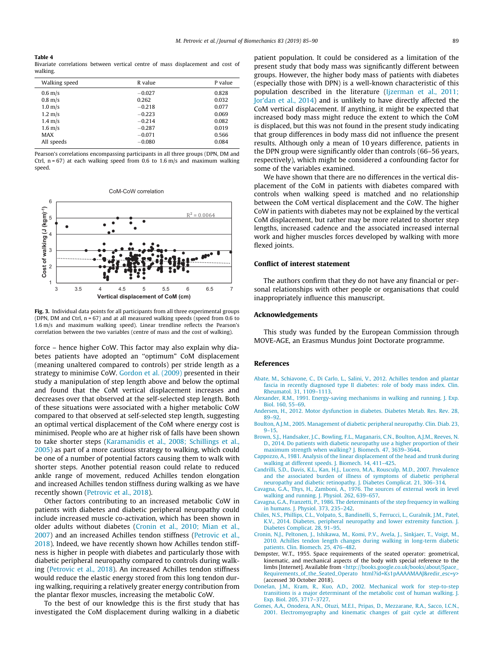#### <span id="page-5-0"></span>Table 4

Bivariate correlations between vertical centre of mass displacement and cost of walking.

| Walking speed     | R value  | P value |
|-------------------|----------|---------|
| $0.6$ m/s         | $-0.027$ | 0.828   |
| $0.8$ m/s         | 0.262    | 0.032   |
| $1.0$ m/s         | $-0.218$ | 0.077   |
| $1.2 \text{ m/s}$ | $-0.223$ | 0.069   |
| $1.4 \text{ m/s}$ | $-0.214$ | 0.082   |
| $1.6$ m/s         | $-0.287$ | 0.019   |
| MAX               | $-0.071$ | 0.566   |
| All speeds        | $-0.080$ | 0.084   |
|                   |          |         |

Pearson's correlations encompassing participants in all three groups (DPN, DM and Ctrl,  $n = 67$ ) at each walking speed from 0.6 to 1.6 m/s and maximum walking speed.



Fig. 3. Individual data points for all participants from all three experimental groups (DPN, DM and Ctrl, n = 67) and at all measured walking speeds (speed from 0.6 to 1.6 m/s and maximum walking speed). Linear trendline reflects the Pearson's correlation between the two variables (centre of mass and the cost of walking).

force – hence higher CoW. This factor may also explain why diabetes patients have adopted an ''optimum" CoM displacement (meaning unaltered compared to controls) per stride length as a strategy to minimise CoW. [Gordon et al. \(2009\)](#page-6-0) presented in their study a manipulation of step length above and below the optimal and found that the CoM vertical displacement increases and decreases over that observed at the self-selected step length. Both of these situations were associated with a higher metabolic CoW compared to that observed at self-selected step length, suggesting an optimal vertical displacement of the CoM where energy cost is minimised. People who are at higher risk of falls have been shown to take shorter steps ([Karamanidis et al., 2008; Schillings et al.,](#page-6-0) [2005](#page-6-0)) as part of a more cautious strategy to walking, which could be one of a number of potential factors causing them to walk with shorter steps. Another potential reason could relate to reduced ankle range of movement, reduced Achilles tendon elongation and increased Achilles tendon stiffness during walking as we have recently shown ([Petrovic et al., 2018](#page-6-0)).

Other factors contributing to an increased metabolic CoW in patients with diabetes and diabetic peripheral neuropathy could include increased muscle co-activation, which has been shown in older adults without diabetes (Cronin et al., 2010; Mian et al., 2007) and an increased Achilles tendon stiffness [\(Petrovic et al.,](#page-6-0) [2018\)](#page-6-0). Indeed, we have recently shown how Achilles tendon stiffness is higher in people with diabetes and particularly those with diabetic peripheral neuropathy compared to controls during walking ([Petrovic et al., 2018](#page-6-0)). An increased Achilles tendon stiffness would reduce the elastic energy stored from this long tendon during walking, requiring a relatively greater energy contribution from the plantar flexor muscles, increasing the metabolic CoW.

To the best of our knowledge this is the first study that has investigated the CoM displacement during walking in a diabetic patient population. It could be considered as a limitation of the present study that body mass was significantly different between groups. However, the higher body mass of patients with diabetes (especially those with DPN) is a well-known characteristic of this population described in the literature [\(Ijzerman et al., 2011;](#page-6-0) [Jor'dan et al., 2014\)](#page-6-0) and is unlikely to have directly affected the CoM vertical displacement. If anything, it might be expected that increased body mass might reduce the extent to which the CoM is displaced, but this was not found in the present study indicating that group differences in body mass did not influence the present results. Although only a mean of 10 years difference, patients in the DPN group were significantly older than controls (66–56 years, respectively), which might be considered a confounding factor for some of the variables examined.

We have shown that there are no differences in the vertical displacement of the CoM in patients with diabetes compared with controls when walking speed is matched and no relationship between the CoM vertical displacement and the CoW. The higher CoW in patients with diabetes may not be explained by the vertical CoM displacement, but rather may be more related to shorter step lengths, increased cadence and the associated increased internal work and higher muscles forces developed by walking with more flexed joints.

### Conflict of interest statement

The authors confirm that they do not have any financial or personal relationships with other people or organisations that could inappropriately influence this manuscript.

## Acknowledgements

This study was funded by the European Commission through MOVE-AGE, an Erasmus Mundus Joint Doctorate programme.

#### References

- [Abate, M., Schiavone, C., Di Carlo, L., Salini, V., 2012. Achilles tendon and plantar](http://refhub.elsevier.com/S0021-9290(18)30862-5/h0005) [fascia in recently diagnosed type II diabetes: role of body mass index. Clin.](http://refhub.elsevier.com/S0021-9290(18)30862-5/h0005) [Rheumatol. 31, 1109–1113.](http://refhub.elsevier.com/S0021-9290(18)30862-5/h0005)
- [Alexander, R.M., 1991. Energy-saving mechanisms in walking and running. J. Exp.](http://refhub.elsevier.com/S0021-9290(18)30862-5/h0010) [Biol. 160, 55–69.](http://refhub.elsevier.com/S0021-9290(18)30862-5/h0010)
- [Andersen, H., 2012. Motor dysfunction in diabetes. Diabetes Metab. Res. Rev. 28,](http://refhub.elsevier.com/S0021-9290(18)30862-5/h0015) [89–92.](http://refhub.elsevier.com/S0021-9290(18)30862-5/h0015)
- [Boulton, A.J.M., 2005. Management of diabetic peripheral neuropathy. Clin. Diab. 23,](http://refhub.elsevier.com/S0021-9290(18)30862-5/h0020) [9–15.](http://refhub.elsevier.com/S0021-9290(18)30862-5/h0020)
- [Brown, S.J., Handsaker, J.C., Bowling, F.L., Maganaris, C.N., Boulton, A.J.M., Reeves, N.](http://refhub.elsevier.com/S0021-9290(18)30862-5/h0025) [D., 2014. Do patients with diabetic neuropathy use a higher proportion of their](http://refhub.elsevier.com/S0021-9290(18)30862-5/h0025) [maximum strength when walking? J. Biomech. 47, 3639–3644](http://refhub.elsevier.com/S0021-9290(18)30862-5/h0025).
- [Cappozzo, A., 1981. Analysis of the linear displacement of the head and trunk during](http://refhub.elsevier.com/S0021-9290(18)30862-5/h0035) [walking at different speeds. J. Biomech. 14, 411–425.](http://refhub.elsevier.com/S0021-9290(18)30862-5/h0035)
- [Candrilli, S.D., Davis, K.L., Kan, H.J., Lucero, M.A., Rousculp, M.D., 2007. Prevalence](http://refhub.elsevier.com/S0021-9290(18)30862-5/h0040) [and the associated burden of illness of symptoms of diabetic peripheral](http://refhub.elsevier.com/S0021-9290(18)30862-5/h0040) [neuropathy and diabetic retinopathy. J. Diabetes Complicat. 21, 306–314](http://refhub.elsevier.com/S0021-9290(18)30862-5/h0040).
- [Cavagna, G.A., Thys, H., Zamboni, A., 1976. The sources of external work in level](http://refhub.elsevier.com/S0021-9290(18)30862-5/h0045) [walking and running. J. Physiol. 262, 639–657.](http://refhub.elsevier.com/S0021-9290(18)30862-5/h0045)
- [Cavagna, G.A., Franzetti, P., 1986. The determinants of the step frequency in walking](http://refhub.elsevier.com/S0021-9290(18)30862-5/h0050) [in humans. J. Physiol. 373, 235–242.](http://refhub.elsevier.com/S0021-9290(18)30862-5/h0050)
- [Chiles, N.S., Phillips, C.L., Volpato, S., Bandinelli, S., Ferrucci, L., Guralnik, J.M., Patel,](http://refhub.elsevier.com/S0021-9290(18)30862-5/h0055) [K.V., 2014. Diabetes, peripheral neuropathy and lower extremity function. J.](http://refhub.elsevier.com/S0021-9290(18)30862-5/h0055) [Diabetes Complicat. 28, 91–95](http://refhub.elsevier.com/S0021-9290(18)30862-5/h0055).
- [Cronin, N.J., Peltonen, J., Ishikawa, M., Komi, P.V., Avela, J., Sinkjaer, T., Voigt, M.,](http://refhub.elsevier.com/S0021-9290(18)30862-5/h0060) [2010. Achilles tendon length changes during walking in long-term diabetic](http://refhub.elsevier.com/S0021-9290(18)30862-5/h0060) [patients. Clin. Biomech. 25, 476–482](http://refhub.elsevier.com/S0021-9290(18)30862-5/h0060).
- Dempster, W.T., 1955. Space requirements of the seated operator: geometrical, kinematic, and mechanical aspects of the body with special reference to the limbs [Internet]. Available from [<http://books.google.co.uk/books/about/Space\\_](http://books.google.co.uk/books/about/Space_Requirements_of_the_Seated_Operato%20html?id=Ks1pAAAAMAAJ%26redir_esc=y) [Requirements\\_of\\_the\\_Seated\\_Operato html?id=Ks1pAAAAMAAJ&redir\\_esc=y>](http://books.google.co.uk/books/about/Space_Requirements_of_the_Seated_Operato%20html?id=Ks1pAAAAMAAJ%26redir_esc=y) (accessed 30 October 2018).
- [Donelan, J.M., Kram, R., Kuo, A.D., 2002. Mechanical work for step-to-step](http://refhub.elsevier.com/S0021-9290(18)30862-5/h0070) [transitions is a major determinant of the metabolic cost of human walking. J.](http://refhub.elsevier.com/S0021-9290(18)30862-5/h0070) [Exp. Biol. 205, 3717–3727.](http://refhub.elsevier.com/S0021-9290(18)30862-5/h0070)
- [Gomes, A.A., Onodera, A.N., Otuzi, M.E.I., Pripas, D., Mezzarane, R.A., Sacco, I.C.N.,](http://refhub.elsevier.com/S0021-9290(18)30862-5/h0075) [2001. Electromyography and kinematic changes of gait cycle at different](http://refhub.elsevier.com/S0021-9290(18)30862-5/h0075)